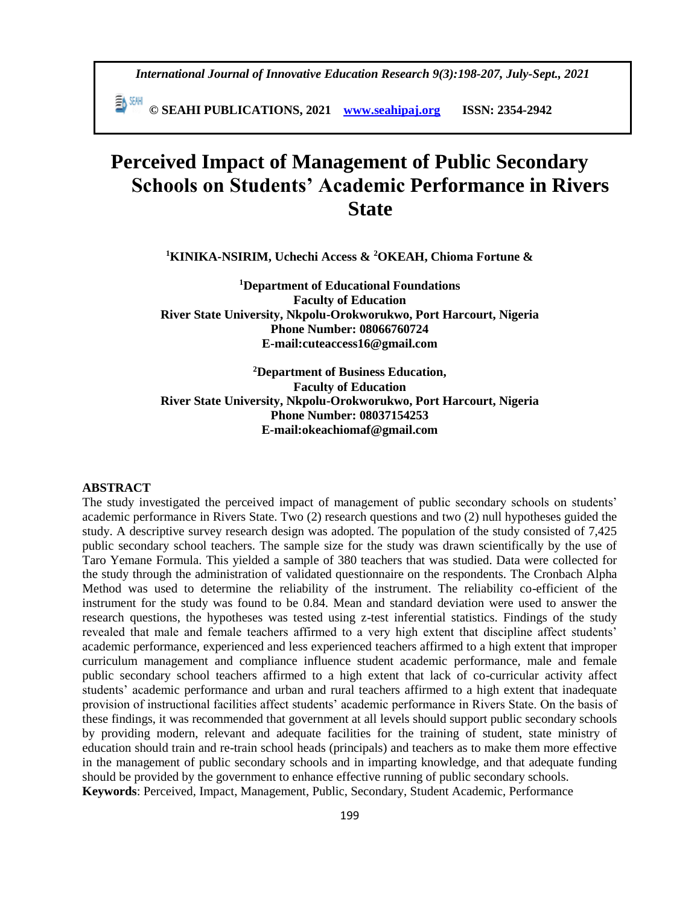*International Journal of Innovative Education Research 9(3):198-207, July-Sept., 2021*

 **© SEAHI PUBLICATIONS, 2021 [www.seahipaj.org](http://www.seahipaj.org/) ISSN: 2354-2942**

# **Perceived Impact of Management of Public Secondary Schools on Students' Academic Performance in Rivers State**

**<sup>1</sup>KINIKA-NSIRIM, Uchechi Access & <sup>2</sup>OKEAH, Chioma Fortune &** 

**<sup>1</sup>Department of Educational Foundations Faculty of Education River State University, Nkpolu-Orokworukwo, Port Harcourt, Nigeria Phone Number: 08066760724 E-mail:cuteaccess16@gmail.com**

**<sup>2</sup>Department of Business Education, Faculty of Education River State University, Nkpolu-Orokworukwo, Port Harcourt, Nigeria Phone Number: 08037154253 E-mail:okeachiomaf@gmail.com**

#### **ABSTRACT**

The study investigated the perceived impact of management of public secondary schools on students' academic performance in Rivers State. Two (2) research questions and two (2) null hypotheses guided the study. A descriptive survey research design was adopted. The population of the study consisted of 7,425 public secondary school teachers. The sample size for the study was drawn scientifically by the use of Taro Yemane Formula. This yielded a sample of 380 teachers that was studied. Data were collected for the study through the administration of validated questionnaire on the respondents. The Cronbach Alpha Method was used to determine the reliability of the instrument. The reliability co-efficient of the instrument for the study was found to be 0.84. Mean and standard deviation were used to answer the research questions, the hypotheses was tested using z-test inferential statistics. Findings of the study revealed that male and female teachers affirmed to a very high extent that discipline affect students' academic performance, experienced and less experienced teachers affirmed to a high extent that improper curriculum management and compliance influence student academic performance, male and female public secondary school teachers affirmed to a high extent that lack of co-curricular activity affect students' academic performance and urban and rural teachers affirmed to a high extent that inadequate provision of instructional facilities affect students' academic performance in Rivers State. On the basis of these findings, it was recommended that government at all levels should support public secondary schools by providing modern, relevant and adequate facilities for the training of student, state ministry of education should train and re-train school heads (principals) and teachers as to make them more effective in the management of public secondary schools and in imparting knowledge, and that adequate funding should be provided by the government to enhance effective running of public secondary schools. **Keywords**: Perceived, Impact, Management, Public, Secondary, Student Academic, Performance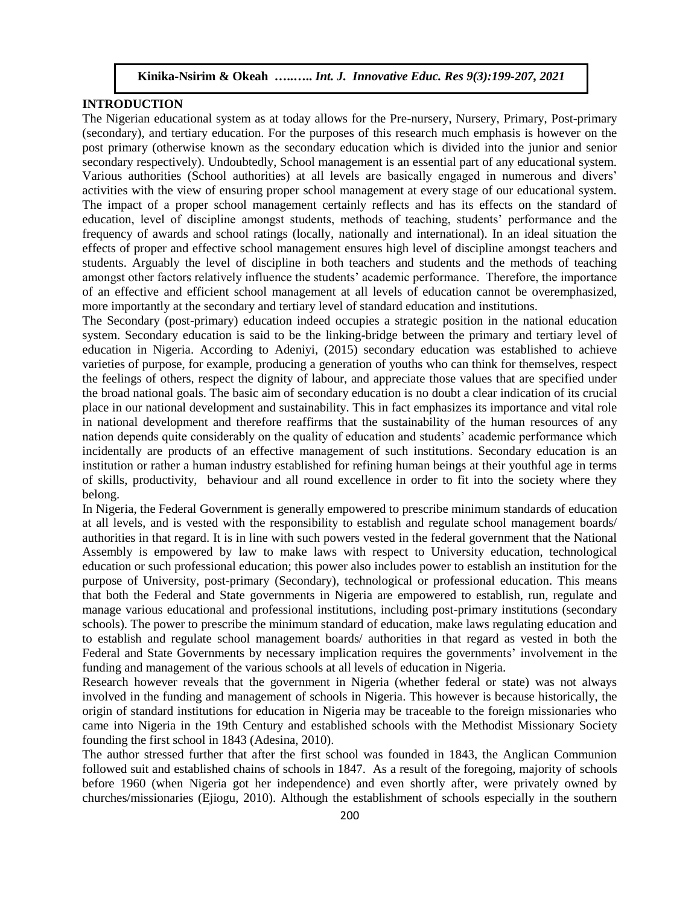### **INTRODUCTION**

The Nigerian educational system as at today allows for the Pre-nursery, Nursery, Primary, Post-primary (secondary), and tertiary education. For the purposes of this research much emphasis is however on the post primary (otherwise known as the secondary education which is divided into the junior and senior secondary respectively). Undoubtedly, School management is an essential part of any educational system. Various authorities (School authorities) at all levels are basically engaged in numerous and divers' activities with the view of ensuring proper school management at every stage of our educational system. The impact of a proper school management certainly reflects and has its effects on the standard of education, level of discipline amongst students, methods of teaching, students' performance and the frequency of awards and school ratings (locally, nationally and international). In an ideal situation the effects of proper and effective school management ensures high level of discipline amongst teachers and students. Arguably the level of discipline in both teachers and students and the methods of teaching amongst other factors relatively influence the students' academic performance. Therefore, the importance of an effective and efficient school management at all levels of education cannot be overemphasized, more importantly at the secondary and tertiary level of standard education and institutions.

The Secondary (post-primary) education indeed occupies a strategic position in the national education system. Secondary education is said to be the linking-bridge between the primary and tertiary level of education in Nigeria. According to Adeniyi, (2015) secondary education was established to achieve varieties of purpose, for example, producing a generation of youths who can think for themselves, respect the feelings of others, respect the dignity of labour, and appreciate those values that are specified under the broad national goals. The basic aim of secondary education is no doubt a clear indication of its crucial place in our national development and sustainability. This in fact emphasizes its importance and vital role in national development and therefore reaffirms that the sustainability of the human resources of any nation depends quite considerably on the quality of education and students' academic performance which incidentally are products of an effective management of such institutions. Secondary education is an institution or rather a human industry established for refining human beings at their youthful age in terms of skills, productivity, behaviour and all round excellence in order to fit into the society where they belong.

In Nigeria, the Federal Government is generally empowered to prescribe minimum standards of education at all levels, and is vested with the responsibility to establish and regulate school management boards/ authorities in that regard. It is in line with such powers vested in the federal government that the National Assembly is empowered by law to make laws with respect to University education, technological education or such professional education; this power also includes power to establish an institution for the purpose of University, post-primary (Secondary), technological or professional education. This means that both the Federal and State governments in Nigeria are empowered to establish, run, regulate and manage various educational and professional institutions, including post-primary institutions (secondary schools). The power to prescribe the minimum standard of education, make laws regulating education and to establish and regulate school management boards/ authorities in that regard as vested in both the Federal and State Governments by necessary implication requires the governments' involvement in the funding and management of the various schools at all levels of education in Nigeria.

Research however reveals that the government in Nigeria (whether federal or state) was not always involved in the funding and management of schools in Nigeria. This however is because historically, the origin of standard institutions for education in Nigeria may be traceable to the foreign missionaries who came into Nigeria in the 19th Century and established schools with the Methodist Missionary Society founding the first school in 1843 (Adesina, 2010).

The author stressed further that after the first school was founded in 1843, the Anglican Communion followed suit and established chains of schools in 1847. As a result of the foregoing, majority of schools before 1960 (when Nigeria got her independence) and even shortly after, were privately owned by churches/missionaries (Ejiogu, 2010). Although the establishment of schools especially in the southern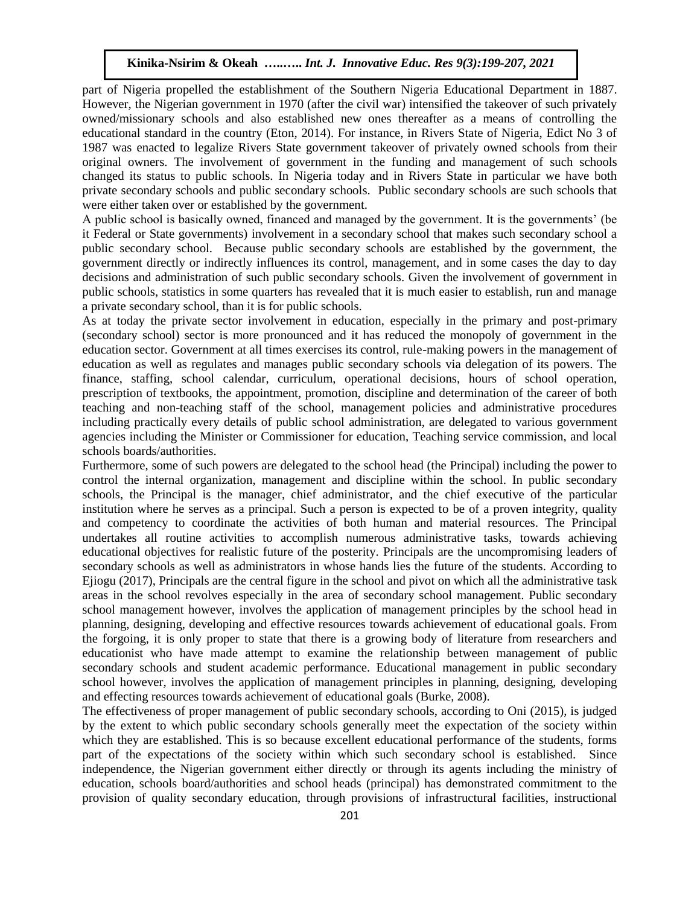part of Nigeria propelled the establishment of the Southern Nigeria Educational Department in 1887. However, the Nigerian government in 1970 (after the civil war) intensified the takeover of such privately owned/missionary schools and also established new ones thereafter as a means of controlling the educational standard in the country (Eton, 2014). For instance, in Rivers State of Nigeria, Edict No 3 of 1987 was enacted to legalize Rivers State government takeover of privately owned schools from their original owners. The involvement of government in the funding and management of such schools changed its status to public schools. In Nigeria today and in Rivers State in particular we have both private secondary schools and public secondary schools. Public secondary schools are such schools that were either taken over or established by the government.

A public school is basically owned, financed and managed by the government. It is the governments' (be it Federal or State governments) involvement in a secondary school that makes such secondary school a public secondary school. Because public secondary schools are established by the government, the government directly or indirectly influences its control, management, and in some cases the day to day decisions and administration of such public secondary schools. Given the involvement of government in public schools, statistics in some quarters has revealed that it is much easier to establish, run and manage a private secondary school, than it is for public schools.

As at today the private sector involvement in education, especially in the primary and post-primary (secondary school) sector is more pronounced and it has reduced the monopoly of government in the education sector. Government at all times exercises its control, rule-making powers in the management of education as well as regulates and manages public secondary schools via delegation of its powers. The finance, staffing, school calendar, curriculum, operational decisions, hours of school operation, prescription of textbooks, the appointment, promotion, discipline and determination of the career of both teaching and non-teaching staff of the school, management policies and administrative procedures including practically every details of public school administration, are delegated to various government agencies including the Minister or Commissioner for education, Teaching service commission, and local schools boards/authorities.

Furthermore, some of such powers are delegated to the school head (the Principal) including the power to control the internal organization, management and discipline within the school. In public secondary schools, the Principal is the manager, chief administrator, and the chief executive of the particular institution where he serves as a principal. Such a person is expected to be of a proven integrity, quality and competency to coordinate the activities of both human and material resources. The Principal undertakes all routine activities to accomplish numerous administrative tasks, towards achieving educational objectives for realistic future of the posterity. Principals are the uncompromising leaders of secondary schools as well as administrators in whose hands lies the future of the students. According to Ejiogu (2017), Principals are the central figure in the school and pivot on which all the administrative task areas in the school revolves especially in the area of secondary school management. Public secondary school management however, involves the application of management principles by the school head in planning, designing, developing and effective resources towards achievement of educational goals. From the forgoing, it is only proper to state that there is a growing body of literature from researchers and educationist who have made attempt to examine the relationship between management of public secondary schools and student academic performance. Educational management in public secondary school however, involves the application of management principles in planning, designing, developing and effecting resources towards achievement of educational goals (Burke, 2008).

The effectiveness of proper management of public secondary schools, according to Oni (2015), is judged by the extent to which public secondary schools generally meet the expectation of the society within which they are established. This is so because excellent educational performance of the students, forms part of the expectations of the society within which such secondary school is established. Since independence, the Nigerian government either directly or through its agents including the ministry of education, schools board/authorities and school heads (principal) has demonstrated commitment to the provision of quality secondary education, through provisions of infrastructural facilities, instructional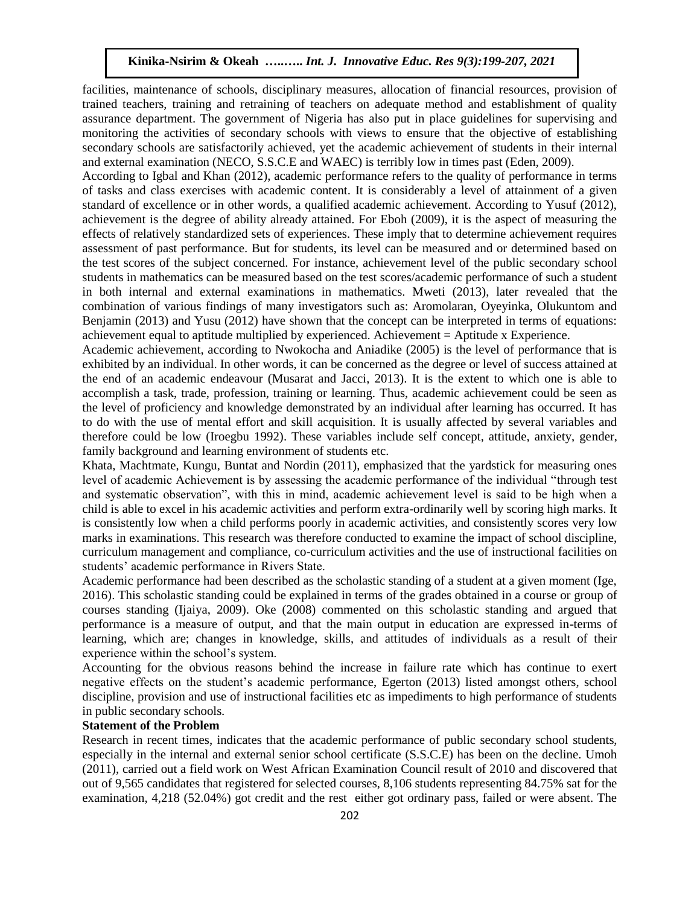facilities, maintenance of schools, disciplinary measures, allocation of financial resources, provision of trained teachers, training and retraining of teachers on adequate method and establishment of quality assurance department. The government of Nigeria has also put in place guidelines for supervising and monitoring the activities of secondary schools with views to ensure that the objective of establishing secondary schools are satisfactorily achieved, yet the academic achievement of students in their internal and external examination (NECO, S.S.C.E and WAEC) is terribly low in times past (Eden, 2009).

According to Igbal and Khan (2012), academic performance refers to the quality of performance in terms of tasks and class exercises with academic content. It is considerably a level of attainment of a given standard of excellence or in other words, a qualified academic achievement. According to Yusuf (2012), achievement is the degree of ability already attained. For Eboh (2009), it is the aspect of measuring the effects of relatively standardized sets of experiences. These imply that to determine achievement requires assessment of past performance. But for students, its level can be measured and or determined based on the test scores of the subject concerned. For instance, achievement level of the public secondary school students in mathematics can be measured based on the test scores/academic performance of such a student in both internal and external examinations in mathematics. Mweti (2013), later revealed that the combination of various findings of many investigators such as: Aromolaran, Oyeyinka, Olukuntom and Benjamin (2013) and Yusu (2012) have shown that the concept can be interpreted in terms of equations: achievement equal to aptitude multiplied by experienced. Achievement = Aptitude x Experience.

Academic achievement, according to Nwokocha and Aniadike (2005) is the level of performance that is exhibited by an individual. In other words, it can be concerned as the degree or level of success attained at the end of an academic endeavour (Musarat and Jacci, 2013). It is the extent to which one is able to accomplish a task, trade, profession, training or learning. Thus, academic achievement could be seen as the level of proficiency and knowledge demonstrated by an individual after learning has occurred. It has to do with the use of mental effort and skill acquisition. It is usually affected by several variables and therefore could be low (Iroegbu 1992). These variables include self concept, attitude, anxiety, gender, family background and learning environment of students etc.

Khata, Machtmate, Kungu, Buntat and Nordin (2011), emphasized that the yardstick for measuring ones level of academic Achievement is by assessing the academic performance of the individual "through test and systematic observation", with this in mind, academic achievement level is said to be high when a child is able to excel in his academic activities and perform extra-ordinarily well by scoring high marks. It is consistently low when a child performs poorly in academic activities, and consistently scores very low marks in examinations. This research was therefore conducted to examine the impact of school discipline, curriculum management and compliance, co-curriculum activities and the use of instructional facilities on students' academic performance in Rivers State.

Academic performance had been described as the scholastic standing of a student at a given moment (Ige, 2016). This scholastic standing could be explained in terms of the grades obtained in a course or group of courses standing (Ijaiya, 2009). Oke (2008) commented on this scholastic standing and argued that performance is a measure of output, and that the main output in education are expressed in-terms of learning, which are; changes in knowledge, skills, and attitudes of individuals as a result of their experience within the school's system.

Accounting for the obvious reasons behind the increase in failure rate which has continue to exert negative effects on the student's academic performance, Egerton (2013) listed amongst others, school discipline, provision and use of instructional facilities etc as impediments to high performance of students in public secondary schools.

## **Statement of the Problem**

Research in recent times, indicates that the academic performance of public secondary school students, especially in the internal and external senior school certificate (S.S.C.E) has been on the decline. Umoh (2011), carried out a field work on West African Examination Council result of 2010 and discovered that out of 9,565 candidates that registered for selected courses, 8,106 students representing 84.75% sat for the examination, 4,218 (52.04%) got credit and the rest either got ordinary pass, failed or were absent. The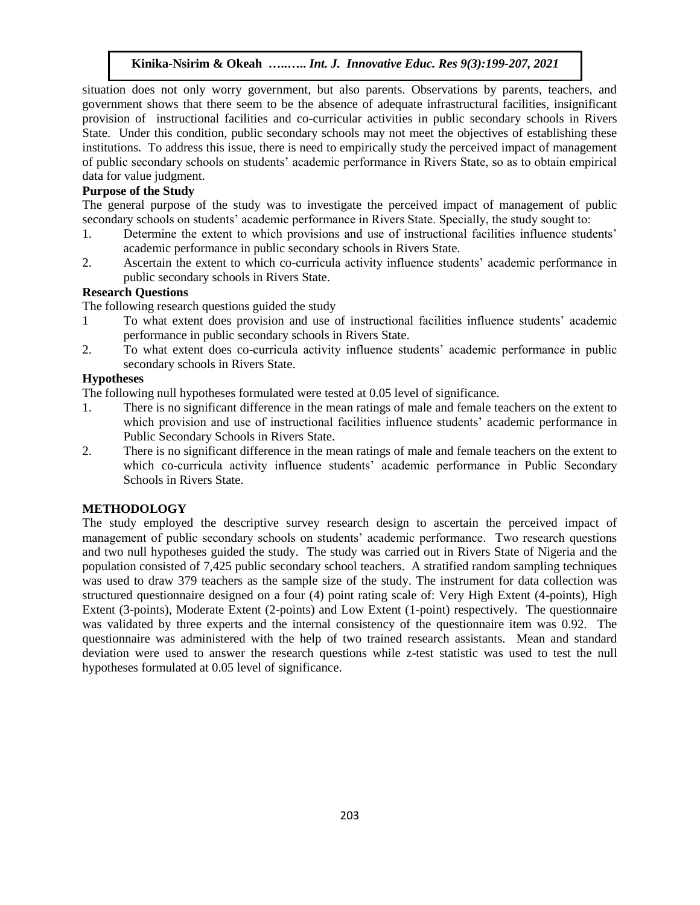situation does not only worry government, but also parents. Observations by parents, teachers, and government shows that there seem to be the absence of adequate infrastructural facilities, insignificant provision of instructional facilities and co-curricular activities in public secondary schools in Rivers State. Under this condition, public secondary schools may not meet the objectives of establishing these institutions. To address this issue, there is need to empirically study the perceived impact of management of public secondary schools on students' academic performance in Rivers State, so as to obtain empirical data for value judgment.

## **Purpose of the Study**

The general purpose of the study was to investigate the perceived impact of management of public secondary schools on students' academic performance in Rivers State. Specially, the study sought to:

- 1. Determine the extent to which provisions and use of instructional facilities influence students' academic performance in public secondary schools in Rivers State.
- 2. Ascertain the extent to which co-curricula activity influence students' academic performance in public secondary schools in Rivers State.

## **Research Questions**

The following research questions guided the study

- 1 To what extent does provision and use of instructional facilities influence students' academic performance in public secondary schools in Rivers State.
- 2. To what extent does co-curricula activity influence students' academic performance in public secondary schools in Rivers State.

# **Hypotheses**

The following null hypotheses formulated were tested at 0.05 level of significance.

- 1. There is no significant difference in the mean ratings of male and female teachers on the extent to which provision and use of instructional facilities influence students' academic performance in Public Secondary Schools in Rivers State.
- 2. There is no significant difference in the mean ratings of male and female teachers on the extent to which co-curricula activity influence students' academic performance in Public Secondary Schools in Rivers State.

## **METHODOLOGY**

The study employed the descriptive survey research design to ascertain the perceived impact of management of public secondary schools on students' academic performance. Two research questions and two null hypotheses guided the study. The study was carried out in Rivers State of Nigeria and the population consisted of 7,425 public secondary school teachers. A stratified random sampling techniques was used to draw 379 teachers as the sample size of the study. The instrument for data collection was structured questionnaire designed on a four (4) point rating scale of: Very High Extent (4-points), High Extent (3-points), Moderate Extent (2-points) and Low Extent (1-point) respectively. The questionnaire was validated by three experts and the internal consistency of the questionnaire item was 0.92. The questionnaire was administered with the help of two trained research assistants. Mean and standard deviation were used to answer the research questions while z-test statistic was used to test the null hypotheses formulated at 0.05 level of significance.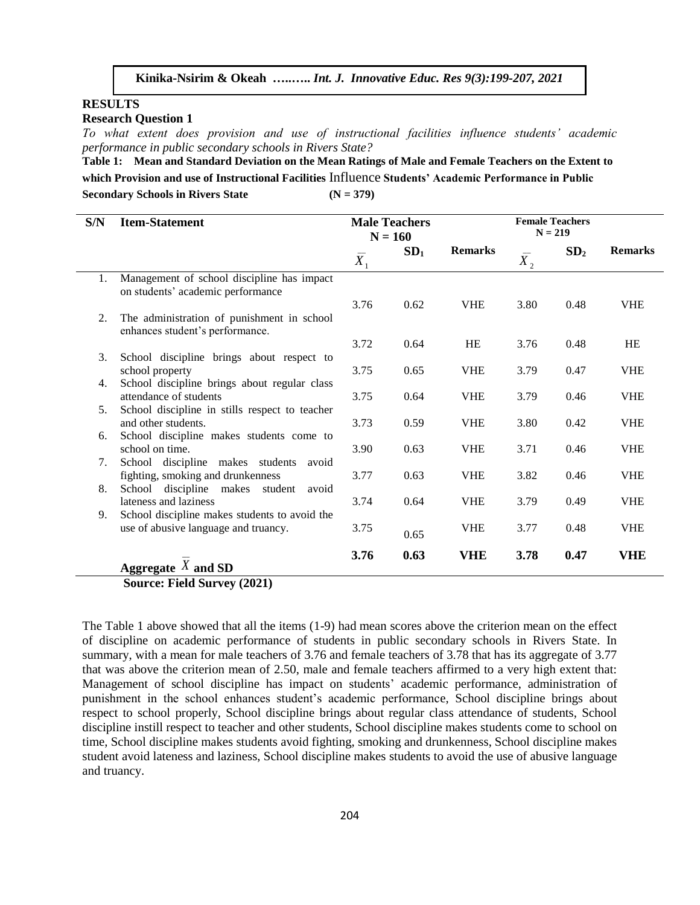#### **RESULTS**

**Research Question 1**

*To what extent does provision and use of instructional facilities influence students' academic performance in public secondary schools in Rivers State?*

**Table 1: Mean and Standard Deviation on the Mean Ratings of Male and Female Teachers on the Extent to which Provision and use of Instructional Facilities** Influence **Students' Academic Performance in Public**  Secondary Schools in Rivers State **(N** = 379)

| S/N            | <b>Item-Statement</b>                                                                 |                  | <b>Male Teachers</b><br>$N = 160$ | <b>Female Teachers</b><br>$N = 219$ |                  |                 |                |  |
|----------------|---------------------------------------------------------------------------------------|------------------|-----------------------------------|-------------------------------------|------------------|-----------------|----------------|--|
|                |                                                                                       | $\overline{X}_1$ | SD <sub>1</sub>                   | <b>Remarks</b>                      | $-\!$<br>$X_{2}$ | SD <sub>2</sub> | <b>Remarks</b> |  |
| 1.             | Management of school discipline has impact<br>on students' academic performance       |                  |                                   |                                     |                  |                 |                |  |
| 2.             | The administration of punishment in school<br>enhances student's performance.         | 3.76             | 0.62                              | <b>VHE</b>                          | 3.80             | 0.48            | <b>VHE</b>     |  |
|                |                                                                                       | 3.72             | 0.64                              | <b>HE</b>                           | 3.76             | 0.48            | <b>HE</b>      |  |
| 3.             | School discipline brings about respect to<br>school property                          | 3.75             | 0.65                              | <b>VHE</b>                          | 3.79             | 0.47            | <b>VHE</b>     |  |
| 4.             | School discipline brings about regular class<br>attendance of students                | 3.75             | 0.64                              | <b>VHE</b>                          | 3.79             | 0.46            | <b>VHE</b>     |  |
| 5 <sub>1</sub> | School discipline in stills respect to teacher<br>and other students.                 | 3.73             | 0.59                              | <b>VHE</b>                          | 3.80             | 0.42            | <b>VHE</b>     |  |
| 6.             | School discipline makes students come to<br>school on time.                           | 3.90             | 0.63                              | <b>VHE</b>                          | 3.71             | 0.46            | <b>VHE</b>     |  |
| 7.             | School discipline makes students<br>avoid<br>fighting, smoking and drunkenness        | 3.77             | 0.63                              | <b>VHE</b>                          | 3.82             | 0.46            | <b>VHE</b>     |  |
| 8.             | School discipline makes student<br>avoid<br>lateness and laziness                     | 3.74             | 0.64                              | <b>VHE</b>                          | 3.79             | 0.49            | <b>VHE</b>     |  |
| 9.             | School discipline makes students to avoid the<br>use of abusive language and truancy. | 3.75             | 0.65                              | <b>VHE</b>                          | 3.77             | 0.48            | <b>VHE</b>     |  |
|                | Aggregate $X$ and SD                                                                  | 3.76             | 0.63                              | <b>VHE</b>                          | 3.78             | 0.47            | <b>VHE</b>     |  |

**Source: Field Survey (2021)**

The Table 1 above showed that all the items (1-9) had mean scores above the criterion mean on the effect of discipline on academic performance of students in public secondary schools in Rivers State. In summary, with a mean for male teachers of 3.76 and female teachers of 3.78 that has its aggregate of 3.77 that was above the criterion mean of 2.50, male and female teachers affirmed to a very high extent that: Management of school discipline has impact on students' academic performance, administration of punishment in the school enhances student's academic performance, School discipline brings about respect to school properly, School discipline brings about regular class attendance of students, School discipline instill respect to teacher and other students, School discipline makes students come to school on time, School discipline makes students avoid fighting, smoking and drunkenness, School discipline makes student avoid lateness and laziness, School discipline makes students to avoid the use of abusive language and truancy.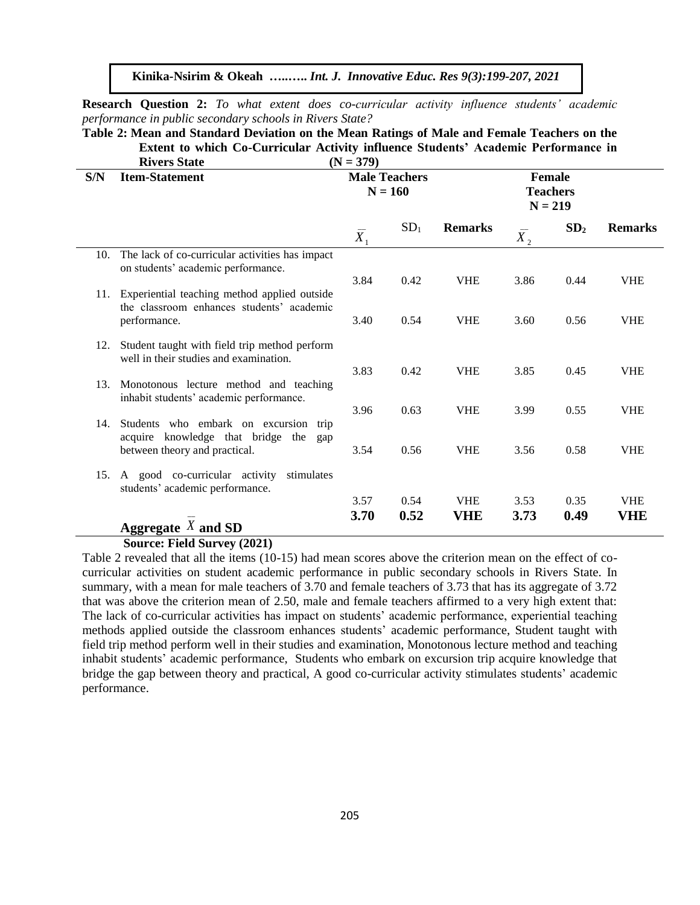**Research Question 2:** *To what extent does co-curricular activity influence students' academic performance in public secondary schools in Rivers State?*

**Table 2: Mean and Standard Deviation on the Mean Ratings of Male and Female Teachers on the Extent to which Co-Curricular Activity influence Students' Academic Performance in**<br> $(N = 370)$ **Rivers State (N = 379)**

|     | MVELS State                                                                               | $(11 = 317)$                      |                 |                                               |                  |                 |                          |
|-----|-------------------------------------------------------------------------------------------|-----------------------------------|-----------------|-----------------------------------------------|------------------|-----------------|--------------------------|
| S/N | <b>Item-Statement</b>                                                                     | <b>Male Teachers</b><br>$N = 160$ |                 | <b>Female</b><br><b>Teachers</b><br>$N = 219$ |                  |                 |                          |
|     |                                                                                           | $\overline{X}_1$                  | SD <sub>1</sub> | <b>Remarks</b>                                | $\overline{X}_2$ | SD <sub>2</sub> | <b>Remarks</b>           |
| 10. | The lack of co-curricular activities has impact<br>on students' academic performance.     |                                   |                 |                                               |                  |                 |                          |
| 11. | Experiential teaching method applied outside<br>the classroom enhances students' academic | 3.84                              | 0.42            | <b>VHE</b>                                    | 3.86             | 0.44            | <b>VHE</b>               |
|     | performance.                                                                              | 3.40                              | 0.54            | <b>VHE</b>                                    | 3.60             | 0.56            | <b>VHE</b>               |
| 12. | Student taught with field trip method perform<br>well in their studies and examination.   | 3.83                              | 0.42            | <b>VHE</b>                                    | 3.85             | 0.45            | <b>VHE</b>               |
| 13. | Monotonous lecture method and teaching<br>inhabit students' academic performance.         |                                   |                 |                                               |                  |                 |                          |
| 14. | Students who embark on excursion<br>trip<br>acquire knowledge that bridge the<br>gap      | 3.96                              | 0.63            | <b>VHE</b>                                    | 3.99             | 0.55            | <b>VHE</b>               |
|     | between theory and practical.                                                             | 3.54                              | 0.56            | <b>VHE</b>                                    | 3.56             | 0.58            | <b>VHE</b>               |
| 15. | A good co-curricular activity<br>stimulates<br>students' academic performance.            |                                   |                 |                                               |                  |                 |                          |
|     | Aggregate $X$ and SD                                                                      | 3.57<br>3.70                      | 0.54<br>0.52    | <b>VHE</b><br>VHE                             | 3.53<br>3.73     | 0.35<br>0.49    | <b>VHE</b><br><b>VHE</b> |

#### **Source: Field Survey (2021)**

Table 2 revealed that all the items (10-15) had mean scores above the criterion mean on the effect of cocurricular activities on student academic performance in public secondary schools in Rivers State. In summary, with a mean for male teachers of 3.70 and female teachers of 3.73 that has its aggregate of 3.72 that was above the criterion mean of 2.50, male and female teachers affirmed to a very high extent that: The lack of co-curricular activities has impact on students' academic performance, experiential teaching methods applied outside the classroom enhances students' academic performance, Student taught with field trip method perform well in their studies and examination, Monotonous lecture method and teaching inhabit students' academic performance, Students who embark on excursion trip acquire knowledge that bridge the gap between theory and practical, A good co-curricular activity stimulates students' academic performance.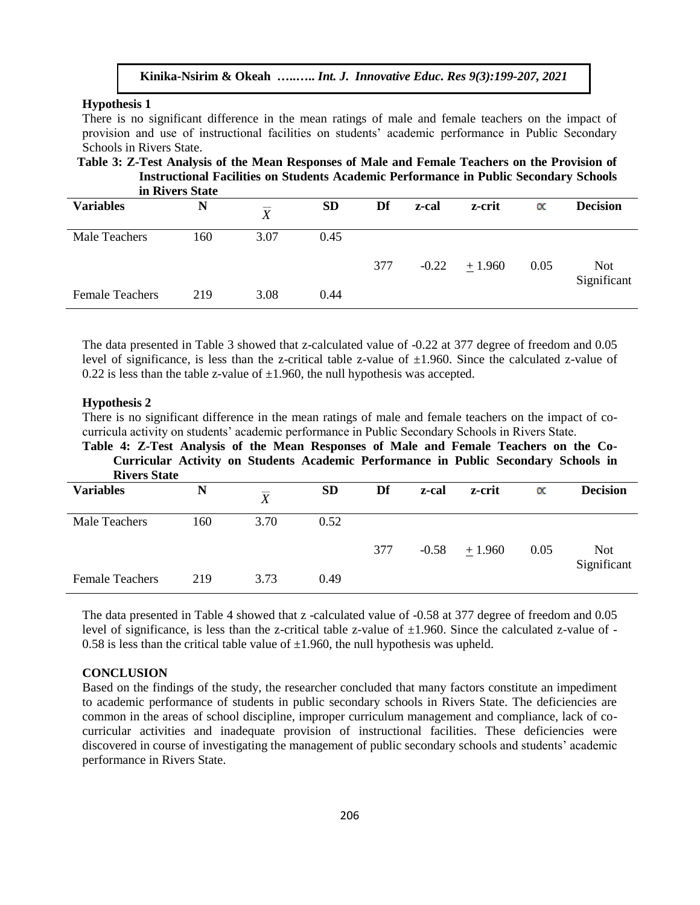#### **Hypothesis 1**

There is no significant difference in the mean ratings of male and female teachers on the impact of provision and use of instructional facilities on students' academic performance in Public Secondary Schools in Rivers State.

**Table 3: Z-Test Analysis of the Mean Responses of Male and Female Teachers on the Provision of Instructional Facilities on Students Academic Performance in Public Secondary Schools** 

| in Rivers State        |     |                |           |     |         |         |           |                           |
|------------------------|-----|----------------|-----------|-----|---------|---------|-----------|---------------------------|
| <b>Variables</b>       | N   | $\overline{X}$ | <b>SD</b> | Df  | z-cal   | z-crit  | $\propto$ | <b>Decision</b>           |
| <b>Male Teachers</b>   | 160 | 3.07           | 0.45      |     |         |         |           |                           |
|                        |     |                |           | 377 | $-0.22$ | ± 1.960 | 0.05      | <b>Not</b><br>Significant |
| <b>Female Teachers</b> | 219 | 3.08           | 0.44      |     |         |         |           |                           |

The data presented in Table 3 showed that z-calculated value of -0.22 at 377 degree of freedom and 0.05 level of significance, is less than the z-critical table z-value of  $\pm 1.960$ . Since the calculated z-value of 0.22 is less than the table z-value of  $\pm 1.960$ , the null hypothesis was accepted.

#### **Hypothesis 2**

There is no significant difference in the mean ratings of male and female teachers on the impact of cocurricula activity on students' academic performance in Public Secondary Schools in Rivers State.

**Table 4: Z-Test Analysis of the Mean Responses of Male and Female Teachers on the Co-Curricular Activity on Students Academic Performance in Public Secondary Schools in Rivers State**

| <b>Variables</b>       | N   | $\overline{\overline{X}}$ | <b>SD</b> | Df  | z-cal   | z-crit   | $\propto$ | <b>Decision</b>           |
|------------------------|-----|---------------------------|-----------|-----|---------|----------|-----------|---------------------------|
| <b>Male Teachers</b>   | 160 | 3.70                      | 0.52      |     |         |          |           |                           |
|                        |     |                           |           | 377 | $-0.58$ | $+1.960$ | 0.05      | <b>Not</b><br>Significant |
| <b>Female Teachers</b> | 219 | 3.73                      | 0.49      |     |         |          |           |                           |

The data presented in Table 4 showed that z -calculated value of -0.58 at 377 degree of freedom and 0.05 level of significance, is less than the z-critical table z-value of  $\pm 1.960$ . Since the calculated z-value of -0.58 is less than the critical table value of  $\pm 1.960$ , the null hypothesis was upheld.

#### **CONCLUSION**

Based on the findings of the study, the researcher concluded that many factors constitute an impediment to academic performance of students in public secondary schools in Rivers State. The deficiencies are common in the areas of school discipline, improper curriculum management and compliance, lack of cocurricular activities and inadequate provision of instructional facilities. These deficiencies were discovered in course of investigating the management of public secondary schools and students' academic performance in Rivers State.